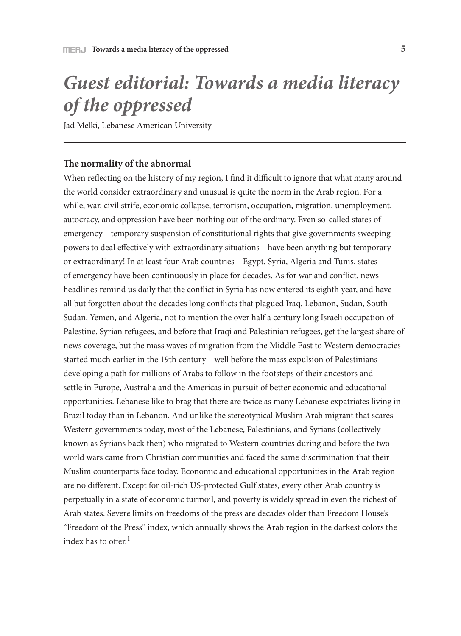# *Guest editorial: Towards a media literacy of the oppressed*

Jad Melki, Lebanese American University

### **The normality of the abnormal**

When reflecting on the history of my region, I find it difficult to ignore that what many around the world consider extraordinary and unusual is quite the norm in the Arab region. For a while, war, civil strife, economic collapse, terrorism, occupation, migration, unemployment, autocracy, and oppression have been nothing out of the ordinary. Even so-called states of emergency—temporary suspension of constitutional rights that give governments sweeping powers to deal effectively with extraordinary situations—have been anything but temporary or extraordinary! In at least four Arab countries—Egypt, Syria, Algeria and Tunis, states of emergency have been continuously in place for decades. As for war and conflict, news headlines remind us daily that the conflict in Syria has now entered its eighth year, and have all but forgotten about the decades long conflicts that plagued Iraq, Lebanon, Sudan, South Sudan, Yemen, and Algeria, not to mention the over half a century long Israeli occupation of Palestine. Syrian refugees, and before that Iraqi and Palestinian refugees, get the largest share of news coverage, but the mass waves of migration from the Middle East to Western democracies started much earlier in the 19th century—well before the mass expulsion of Palestinians developing a path for millions of Arabs to follow in the footsteps of their ancestors and settle in Europe, Australia and the Americas in pursuit of better economic and educational opportunities. Lebanese like to brag that there are twice as many Lebanese expatriates living in Brazil today than in Lebanon. And unlike the stereotypical Muslim Arab migrant that scares Western governments today, most of the Lebanese, Palestinians, and Syrians (collectively known as Syrians back then) who migrated to Western countries during and before the two world wars came from Christian communities and faced the same discrimination that their Muslim counterparts face today. Economic and educational opportunities in the Arab region are no different. Except for oil-rich US-protected Gulf states, every other Arab country is perpetually in a state of economic turmoil, and poverty is widely spread in even the richest of Arab states. Severe limits on freedoms of the press are decades older than Freedom House's "Freedom of the Press" index, which annually shows the Arab region in the darkest colors the index has to offer. $<sup>1</sup>$ </sup>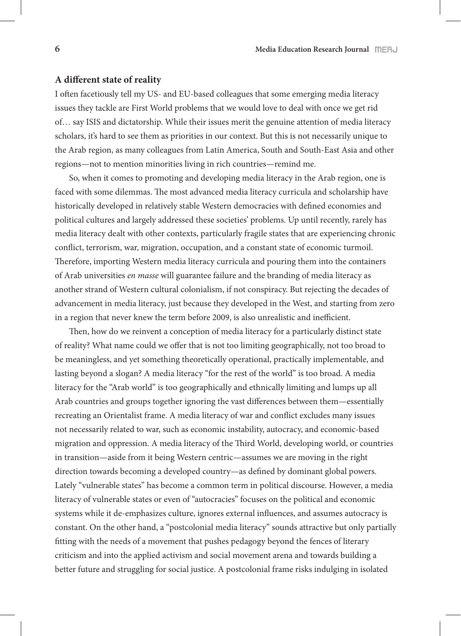#### **A different state of reality**

I often facetiously tell my US- and EU-based colleagues that some emerging media literacy issues they tackle are First World problems that we would love to deal with once we get rid of… say ISIS and dictatorship. While their issues merit the genuine attention of media literacy scholars, it's hard to see them as priorities in our context. But this is not necessarily unique to the Arab region, as many colleagues from Latin America, South and South-East Asia and other regions—not to mention minorities living in rich countries—remind me.

So, when it comes to promoting and developing media literacy in the Arab region, one is faced with some dilemmas. The most advanced media literacy curricula and scholarship have historically developed in relatively stable Western democracies with defined economies and political cultures and largely addressed these societies' problems. Up until recently, rarely has media literacy dealt with other contexts, particularly fragile states that are experiencing chronic conflict, terrorism, war, migration, occupation, and a constant state of economic turmoil. Therefore, importing Western media literacy curricula and pouring them into the containers of Arab universities *en masse* will guarantee failure and the branding of media literacy as another strand of Western cultural colonialism, if not conspiracy. But rejecting the decades of advancement in media literacy, just because they developed in the West, and starting from zero in a region that never knew the term before 2009, is also unrealistic and inefficient.

Then, how do we reinvent a conception of media literacy for a particularly distinct state of reality? What name could we offer that is not too limiting geographically, not too broad to be meaningless, and yet something theoretically operational, practically implementable, and lasting beyond a slogan? A media literacy "for the rest of the world" is too broad. A media literacy for the "Arab world" is too geographically and ethnically limiting and lumps up all Arab countries and groups together ignoring the vast differences between them—essentially recreating an Orientalist frame. A media literacy of war and conflict excludes many issues not necessarily related to war, such as economic instability, autocracy, and economic-based migration and oppression. A media literacy of the Third World, developing world, or countries in transition—aside from it being Western centric—assumes we are moving in the right direction towards becoming a developed country—as defined by dominant global powers. Lately "vulnerable states" has become a common term in political discourse. However, a media literacy of vulnerable states or even of "autocracies" focuses on the political and economic systems while it de-emphasizes culture, ignores external influences, and assumes autocracy is constant. On the other hand, a "postcolonial media literacy" sounds attractive but only partially fitting with the needs of a movement that pushes pedagogy beyond the fences of literary criticism and into the applied activism and social movement arena and towards building a better future and struggling for social justice. A postcolonial frame risks indulging in isolated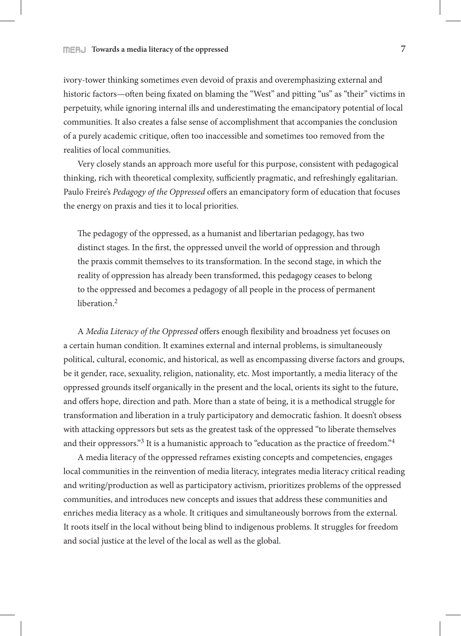ivory-tower thinking sometimes even devoid of praxis and overemphasizing external and historic factors—often being fixated on blaming the "West" and pitting "us" as "their" victims in perpetuity, while ignoring internal ills and underestimating the emancipatory potential of local communities. It also creates a false sense of accomplishment that accompanies the conclusion of a purely academic critique, often too inaccessible and sometimes too removed from the realities of local communities.

Very closely stands an approach more useful for this purpose, consistent with pedagogical thinking, rich with theoretical complexity, sufficiently pragmatic, and refreshingly egalitarian. Paulo Freire's *Pedagogy of the Oppressed* offers an emancipatory form of education that focuses the energy on praxis and ties it to local priorities.

The pedagogy of the oppressed, as a humanist and libertarian pedagogy, has two distinct stages. In the first, the oppressed unveil the world of oppression and through the praxis commit themselves to its transformation. In the second stage, in which the reality of oppression has already been transformed, this pedagogy ceases to belong to the oppressed and becomes a pedagogy of all people in the process of permanent liberation<sup>2</sup>

A *Media Literacy of the Oppressed* offers enough flexibility and broadness yet focuses on a certain human condition. It examines external and internal problems, is simultaneously political, cultural, economic, and historical, as well as encompassing diverse factors and groups, be it gender, race, sexuality, religion, nationality, etc. Most importantly, a media literacy of the oppressed grounds itself organically in the present and the local, orients its sight to the future, and offers hope, direction and path. More than a state of being, it is a methodical struggle for transformation and liberation in a truly participatory and democratic fashion. It doesn't obsess with attacking oppressors but sets as the greatest task of the oppressed "to liberate themselves and their oppressors."<sup>3</sup> It is a humanistic approach to "education as the practice of freedom."<sup>4</sup>

A media literacy of the oppressed reframes existing concepts and competencies, engages local communities in the reinvention of media literacy, integrates media literacy critical reading and writing/production as well as participatory activism, prioritizes problems of the oppressed communities, and introduces new concepts and issues that address these communities and enriches media literacy as a whole. It critiques and simultaneously borrows from the external. It roots itself in the local without being blind to indigenous problems. It struggles for freedom and social justice at the level of the local as well as the global.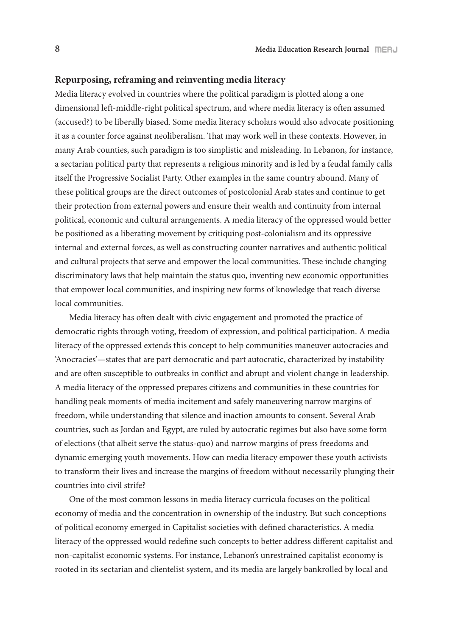#### **Repurposing, reframing and reinventing media literacy**

Media literacy evolved in countries where the political paradigm is plotted along a one dimensional left-middle-right political spectrum, and where media literacy is often assumed (accused?) to be liberally biased. Some media literacy scholars would also advocate positioning it as a counter force against neoliberalism. That may work well in these contexts. However, in many Arab counties, such paradigm is too simplistic and misleading. In Lebanon, for instance, a sectarian political party that represents a religious minority and is led by a feudal family calls itself the Progressive Socialist Party. Other examples in the same country abound. Many of these political groups are the direct outcomes of postcolonial Arab states and continue to get their protection from external powers and ensure their wealth and continuity from internal political, economic and cultural arrangements. A media literacy of the oppressed would better be positioned as a liberating movement by critiquing post-colonialism and its oppressive internal and external forces, as well as constructing counter narratives and authentic political and cultural projects that serve and empower the local communities. These include changing discriminatory laws that help maintain the status quo, inventing new economic opportunities that empower local communities, and inspiring new forms of knowledge that reach diverse local communities.

Media literacy has often dealt with civic engagement and promoted the practice of democratic rights through voting, freedom of expression, and political participation. A media literacy of the oppressed extends this concept to help communities maneuver autocracies and 'Anocracies'—states that are part democratic and part autocratic, characterized by instability and are often susceptible to outbreaks in conflict and abrupt and violent change in leadership. A media literacy of the oppressed prepares citizens and communities in these countries for handling peak moments of media incitement and safely maneuvering narrow margins of freedom, while understanding that silence and inaction amounts to consent. Several Arab countries, such as Jordan and Egypt, are ruled by autocratic regimes but also have some form of elections (that albeit serve the status-quo) and narrow margins of press freedoms and dynamic emerging youth movements. How can media literacy empower these youth activists to transform their lives and increase the margins of freedom without necessarily plunging their countries into civil strife?

One of the most common lessons in media literacy curricula focuses on the political economy of media and the concentration in ownership of the industry. But such conceptions of political economy emerged in Capitalist societies with defined characteristics. A media literacy of the oppressed would redefine such concepts to better address different capitalist and non-capitalist economic systems. For instance, Lebanon's unrestrained capitalist economy is rooted in its sectarian and clientelist system, and its media are largely bankrolled by local and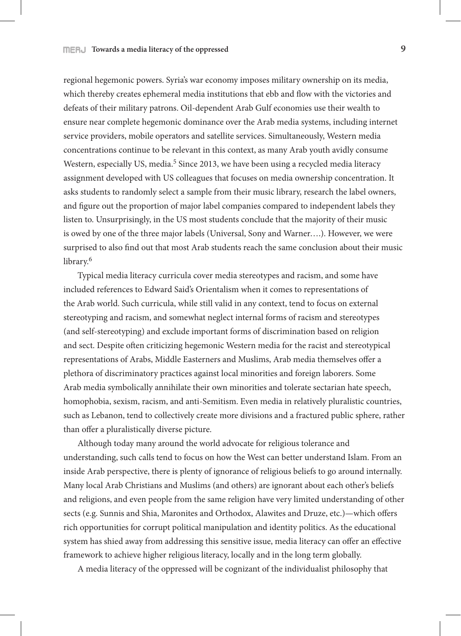regional hegemonic powers. Syria's war economy imposes military ownership on its media, which thereby creates ephemeral media institutions that ebb and flow with the victories and defeats of their military patrons. Oil-dependent Arab Gulf economies use their wealth to ensure near complete hegemonic dominance over the Arab media systems, including internet service providers, mobile operators and satellite services. Simultaneously, Western media concentrations continue to be relevant in this context, as many Arab youth avidly consume Western, especially US, media.<sup>5</sup> Since 2013, we have been using a recycled media literacy assignment developed with US colleagues that focuses on media ownership concentration. It asks students to randomly select a sample from their music library, research the label owners, and figure out the proportion of major label companies compared to independent labels they listen to. Unsurprisingly, in the US most students conclude that the majority of their music is owed by one of the three major labels (Universal, Sony and Warner….). However, we were surprised to also find out that most Arab students reach the same conclusion about their music library.<sup>6</sup>

Typical media literacy curricula cover media stereotypes and racism, and some have included references to Edward Said's Orientalism when it comes to representations of the Arab world. Such curricula, while still valid in any context, tend to focus on external stereotyping and racism, and somewhat neglect internal forms of racism and stereotypes (and self-stereotyping) and exclude important forms of discrimination based on religion and sect. Despite often criticizing hegemonic Western media for the racist and stereotypical representations of Arabs, Middle Easterners and Muslims, Arab media themselves offer a plethora of discriminatory practices against local minorities and foreign laborers. Some Arab media symbolically annihilate their own minorities and tolerate sectarian hate speech, homophobia, sexism, racism, and anti-Semitism. Even media in relatively pluralistic countries, such as Lebanon, tend to collectively create more divisions and a fractured public sphere, rather than offer a pluralistically diverse picture.

Although today many around the world advocate for religious tolerance and understanding, such calls tend to focus on how the West can better understand Islam. From an inside Arab perspective, there is plenty of ignorance of religious beliefs to go around internally. Many local Arab Christians and Muslims (and others) are ignorant about each other's beliefs and religions, and even people from the same religion have very limited understanding of other sects (e.g. Sunnis and Shia, Maronites and Orthodox, Alawites and Druze, etc.)—which offers rich opportunities for corrupt political manipulation and identity politics. As the educational system has shied away from addressing this sensitive issue, media literacy can offer an effective framework to achieve higher religious literacy, locally and in the long term globally.

A media literacy of the oppressed will be cognizant of the individualist philosophy that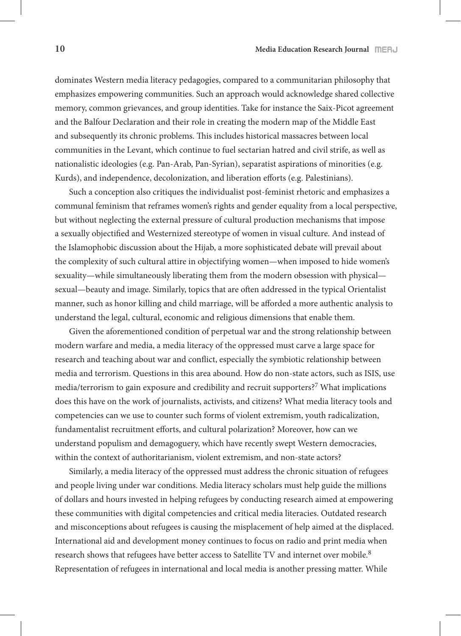dominates Western media literacy pedagogies, compared to a communitarian philosophy that emphasizes empowering communities. Such an approach would acknowledge shared collective memory, common grievances, and group identities. Take for instance the Saix-Picot agreement and the Balfour Declaration and their role in creating the modern map of the Middle East and subsequently its chronic problems. This includes historical massacres between local communities in the Levant, which continue to fuel sectarian hatred and civil strife, as well as nationalistic ideologies (e.g. Pan-Arab, Pan-Syrian), separatist aspirations of minorities (e.g. Kurds), and independence, decolonization, and liberation efforts (e.g. Palestinians).

Such a conception also critiques the individualist post-feminist rhetoric and emphasizes a communal feminism that reframes women's rights and gender equality from a local perspective, but without neglecting the external pressure of cultural production mechanisms that impose a sexually objectified and Westernized stereotype of women in visual culture. And instead of the Islamophobic discussion about the Hijab, a more sophisticated debate will prevail about the complexity of such cultural attire in objectifying women—when imposed to hide women's sexuality—while simultaneously liberating them from the modern obsession with physical sexual—beauty and image. Similarly, topics that are often addressed in the typical Orientalist manner, such as honor killing and child marriage, will be afforded a more authentic analysis to understand the legal, cultural, economic and religious dimensions that enable them.

Given the aforementioned condition of perpetual war and the strong relationship between modern warfare and media, a media literacy of the oppressed must carve a large space for research and teaching about war and conflict, especially the symbiotic relationship between media and terrorism. Questions in this area abound. How do non-state actors, such as ISIS, use media/terrorism to gain exposure and credibility and recruit supporters?7 What implications does this have on the work of journalists, activists, and citizens? What media literacy tools and competencies can we use to counter such forms of violent extremism, youth radicalization, fundamentalist recruitment efforts, and cultural polarization? Moreover, how can we understand populism and demagoguery, which have recently swept Western democracies, within the context of authoritarianism, violent extremism, and non-state actors?

Similarly, a media literacy of the oppressed must address the chronic situation of refugees and people living under war conditions. Media literacy scholars must help guide the millions of dollars and hours invested in helping refugees by conducting research aimed at empowering these communities with digital competencies and critical media literacies. Outdated research and misconceptions about refugees is causing the misplacement of help aimed at the displaced. International aid and development money continues to focus on radio and print media when research shows that refugees have better access to Satellite TV and internet over mobile.8 Representation of refugees in international and local media is another pressing matter. While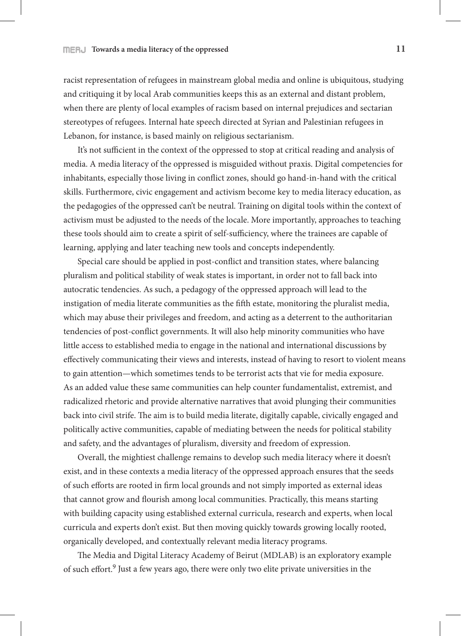racist representation of refugees in mainstream global media and online is ubiquitous, studying and critiquing it by local Arab communities keeps this as an external and distant problem, when there are plenty of local examples of racism based on internal prejudices and sectarian stereotypes of refugees. Internal hate speech directed at Syrian and Palestinian refugees in Lebanon, for instance, is based mainly on religious sectarianism.

It's not sufficient in the context of the oppressed to stop at critical reading and analysis of media. A media literacy of the oppressed is misguided without praxis. Digital competencies for inhabitants, especially those living in conflict zones, should go hand-in-hand with the critical skills. Furthermore, civic engagement and activism become key to media literacy education, as the pedagogies of the oppressed can't be neutral. Training on digital tools within the context of activism must be adjusted to the needs of the locale. More importantly, approaches to teaching these tools should aim to create a spirit of self-sufficiency, where the trainees are capable of learning, applying and later teaching new tools and concepts independently.

Special care should be applied in post-conflict and transition states, where balancing pluralism and political stability of weak states is important, in order not to fall back into autocratic tendencies. As such, a pedagogy of the oppressed approach will lead to the instigation of media literate communities as the fifth estate, monitoring the pluralist media, which may abuse their privileges and freedom, and acting as a deterrent to the authoritarian tendencies of post-conflict governments. It will also help minority communities who have little access to established media to engage in the national and international discussions by effectively communicating their views and interests, instead of having to resort to violent means to gain attention—which sometimes tends to be terrorist acts that vie for media exposure. As an added value these same communities can help counter fundamentalist, extremist, and radicalized rhetoric and provide alternative narratives that avoid plunging their communities back into civil strife. The aim is to build media literate, digitally capable, civically engaged and politically active communities, capable of mediating between the needs for political stability and safety, and the advantages of pluralism, diversity and freedom of expression.

Overall, the mightiest challenge remains to develop such media literacy where it doesn't exist, and in these contexts a media literacy of the oppressed approach ensures that the seeds of such efforts are rooted in firm local grounds and not simply imported as external ideas that cannot grow and flourish among local communities. Practically, this means starting with building capacity using established external curricula, research and experts, when local curricula and experts don't exist. But then moving quickly towards growing locally rooted, organically developed, and contextually relevant media literacy programs.

The Media and Digital Literacy Academy of Beirut (MDLAB) is an exploratory example of such effort.9 Just a few years ago, there were only two elite private universities in the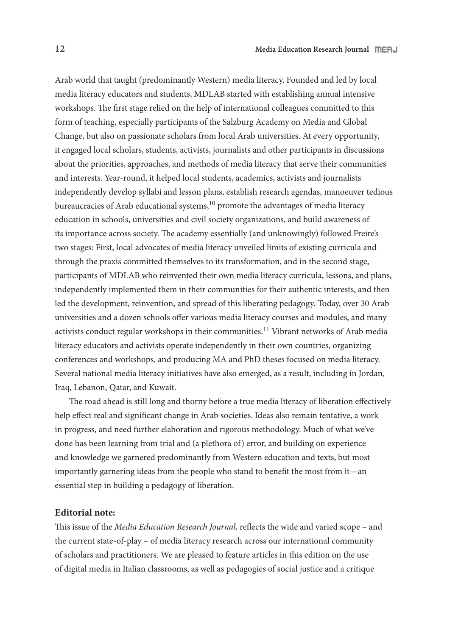Arab world that taught (predominantly Western) media literacy. Founded and led by local media literacy educators and students, MDLAB started with establishing annual intensive workshops. The first stage relied on the help of international colleagues committed to this form of teaching, especially participants of the Salzburg Academy on Media and Global Change, but also on passionate scholars from local Arab universities. At every opportunity, it engaged local scholars, students, activists, journalists and other participants in discussions about the priorities, approaches, and methods of media literacy that serve their communities and interests. Year-round, it helped local students, academics, activists and journalists independently develop syllabi and lesson plans, establish research agendas, manoeuver tedious bureaucracies of Arab educational systems,<sup>10</sup> promote the advantages of media literacy education in schools, universities and civil society organizations, and build awareness of its importance across society. The academy essentially (and unknowingly) followed Freire's two stages: First, local advocates of media literacy unveiled limits of existing curricula and through the praxis committed themselves to its transformation, and in the second stage, participants of MDLAB who reinvented their own media literacy curricula, lessons, and plans, independently implemented them in their communities for their authentic interests, and then led the development, reinvention, and spread of this liberating pedagogy. Today, over 30 Arab universities and a dozen schools offer various media literacy courses and modules, and many activists conduct regular workshops in their communities.<sup>11</sup> Vibrant networks of Arab media literacy educators and activists operate independently in their own countries, organizing conferences and workshops, and producing MA and PhD theses focused on media literacy. Several national media literacy initiatives have also emerged, as a result, including in Jordan, Iraq, Lebanon, Qatar, and Kuwait.

The road ahead is still long and thorny before a true media literacy of liberation effectively help effect real and significant change in Arab societies. Ideas also remain tentative, a work in progress, and need further elaboration and rigorous methodology. Much of what we've done has been learning from trial and (a plethora of) error, and building on experience and knowledge we garnered predominantly from Western education and texts, but most importantly garnering ideas from the people who stand to benefit the most from it—an essential step in building a pedagogy of liberation.

## **Editorial note:**

This issue of the *Media Education Research Journal*, reflects the wide and varied scope – and the current state-of-play – of media literacy research across our international community of scholars and practitioners. We are pleased to feature articles in this edition on the use of digital media in Italian classrooms, as well as pedagogies of social justice and a critique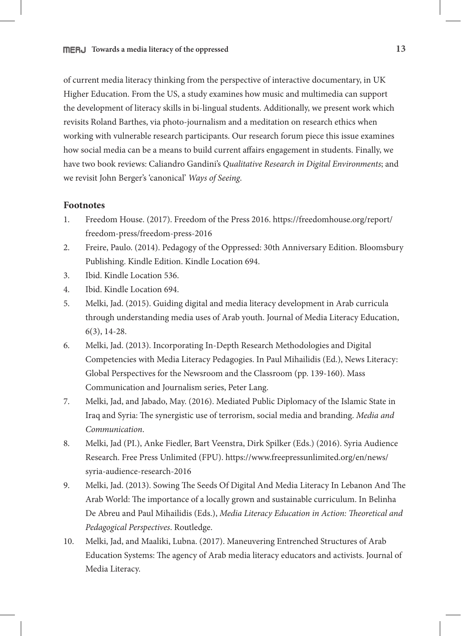of current media literacy thinking from the perspective of interactive documentary, in UK Higher Education. From the US, a study examines how music and multimedia can support the development of literacy skills in bi-lingual students. Additionally, we present work which revisits Roland Barthes, via photo-journalism and a meditation on research ethics when working with vulnerable research participants. Our research forum piece this issue examines how social media can be a means to build current affairs engagement in students. Finally, we have two book reviews: Caliandro Gandini's *Qualitative Research in Digital Environments*; and we revisit John Berger's 'canonical' *Ways of Seeing*.

## **Footnotes**

- 1. Freedom House. (2017). Freedom of the Press 2016. https://freedomhouse.org/report/ freedom-press/freedom-press-2016
- 2. Freire, Paulo. (2014). Pedagogy of the Oppressed: 30th Anniversary Edition. Bloomsbury Publishing. Kindle Edition. Kindle Location 694.
- 3. Ibid. Kindle Location 536.
- 4. Ibid. Kindle Location 694.
- 5. Melki, Jad. (2015). Guiding digital and media literacy development in Arab curricula through understanding media uses of Arab youth. Journal of Media Literacy Education, 6(3), 14-28.
- 6. Melki, Jad. (2013). Incorporating In-Depth Research Methodologies and Digital Competencies with Media Literacy Pedagogies. In Paul Mihailidis (Ed.), News Literacy: Global Perspectives for the Newsroom and the Classroom (pp. 139-160). Mass Communication and Journalism series, Peter Lang.
- 7. Melki, Jad, and Jabado, May. (2016). Mediated Public Diplomacy of the Islamic State in Iraq and Syria: The synergistic use of terrorism, social media and branding. *Media and Communication*.
- 8. Melki, Jad (PI.), Anke Fiedler, Bart Veenstra, Dirk Spilker (Eds.) (2016). Syria Audience Research. Free Press Unlimited (FPU). https://www.freepressunlimited.org/en/news/ syria-audience-research-2016
- 9. Melki, Jad. (2013). Sowing The Seeds Of Digital And Media Literacy In Lebanon And The Arab World: The importance of a locally grown and sustainable curriculum. In Belinha De Abreu and Paul Mihailidis (Eds.), *Media Literacy Education in Action: Theoretical and Pedagogical Perspectives*. Routledge.
- 10. Melki, Jad, and Maaliki, Lubna. (2017). Maneuvering Entrenched Structures of Arab Education Systems: The agency of Arab media literacy educators and activists. Journal of Media Literacy.